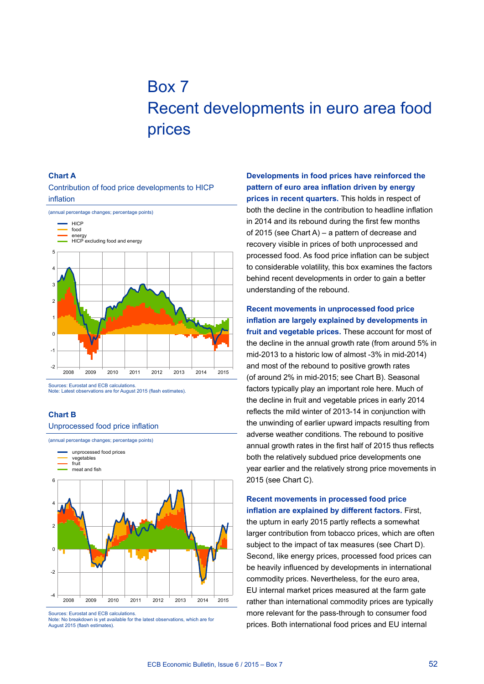# Box 7 Recent developments in euro area food prices

#### **Chart a**

Contribution of food price developments to HICP inflation



Sources: Eurostat and ECB calculations. Note: Latest observations are for August 2015 (flash estimates).

#### **Chart B**

Unprocessed food price inflation



Sources: Eurostat and ECB calculations.

**Developments in food prices have reinforced the pattern of euro area inflation driven by energy prices in recent quarters.** This holds in respect of both the decline in the contribution to headline inflation in 2014 and its rebound during the first few months of 2015 (see Chart A) – a pattern of decrease and recovery visible in prices of both unprocessed and processed food. As food price inflation can be subject to considerable volatility, this box examines the factors behind recent developments in order to gain a better understanding of the rebound.

# **Recent movements in unprocessed food price inflation are largely explained by developments in fruit and vegetable prices.** These account for most of the decline in the annual growth rate (from around 5% in mid-2013 to a historic low of almost -3% in mid-2014) and most of the rebound to positive growth rates (of around 2% in mid-2015; see Chart B). Seasonal factors typically play an important role here. Much of the decline in fruit and vegetable prices in early 2014 reflects the mild winter of 2013-14 in conjunction with the unwinding of earlier upward impacts resulting from adverse weather conditions. The rebound to positive annual growth rates in the first half of 2015 thus reflects both the relatively subdued price developments one year earlier and the relatively strong price movements in 2015 (see Chart C).

# **Recent movements in processed food price inflation are explained by different factors.** First, the upturn in early 2015 partly reflects a somewhat larger contribution from tobacco prices, which are often subject to the impact of tax measures (see Chart D). Second, like energy prices, processed food prices can be heavily influenced by developments in international commodity prices. Nevertheless, for the euro area, EU internal market prices measured at the farm gate rather than international commodity prices are typically more relevant for the pass-through to consumer food prices. Both international food prices and EU internal

Note: No breakdown is yet available for the latest observations, which are for August 2015 (flash estimates).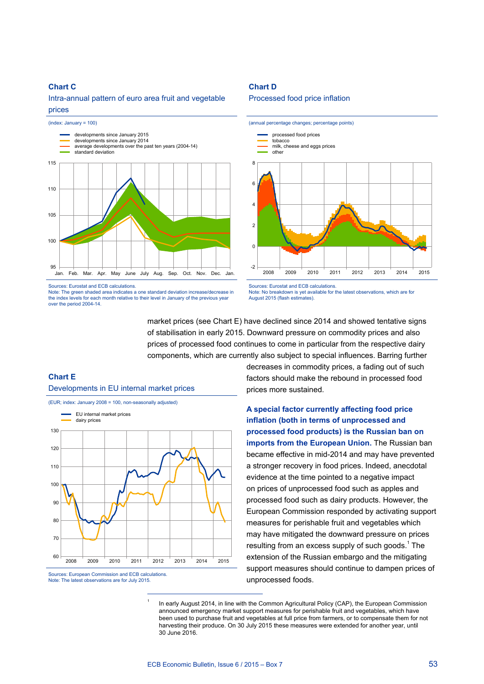### **Chart C**

Intra-annual pattern of euro area fruit and vegetable prices



Sources: Eurostat and ECB calculations.

Note: The green shaded area indicates a one standard deviation increase/decrease in the index levels for each month relative to their level in January of the previous year over the period 2004-14.

#### **Chart D**

#### Processed food price inflation



Sources: Eurostat and ECB calculations.<br>Note: No breakdown is vet available for andabile:<br>able for the latest observations, which are for August 2015 (flash estimates).

market prices (see Chart E) have declined since 2014 and showed tentative signs of stabilisation in early 2015. Downward pressure on commodity prices and also prices of processed food continues to come in particular from the respective dairy components, which are currently also subject to special influences. Barring further

## **Chart E**

Developments in EU internal market prices



Sources: European Commission and ECB calculations. Note: The latest observations are for July 2015.

decreases in commodity prices, a fading out of such factors should make the rebound in processed food prices more sustained.

**A special factor currently affecting food price inflation (both in terms of unprocessed and processed food products) is the Russian ban on imports from the European Union.** The Russian ban became effective in mid-2014 and may have prevented a stronger recovery in food prices. Indeed, anecdotal evidence at the time pointed to a negative impact on prices of unprocessed food such as apples and processed food such as dairy products. However, the European Commission responded by activating support measures for perishable fruit and vegetables which may have mitigated the downward pressure on prices resulting from an excess supply of such goods. $1$  The extension of the Russian embargo and the mitigating support measures should continue to dampen prices of unprocessed foods.

In early August 2014, in line with the Common Agricultural Policy (CAP), the European Commission announced emergency market support measures for perishable fruit and vegetables, which have been used to purchase fruit and vegetables at full price from farmers, or to compensate them for not harvesting their produce. On 30 July 2015 these measures were extended for another year, until 30 June 2016.